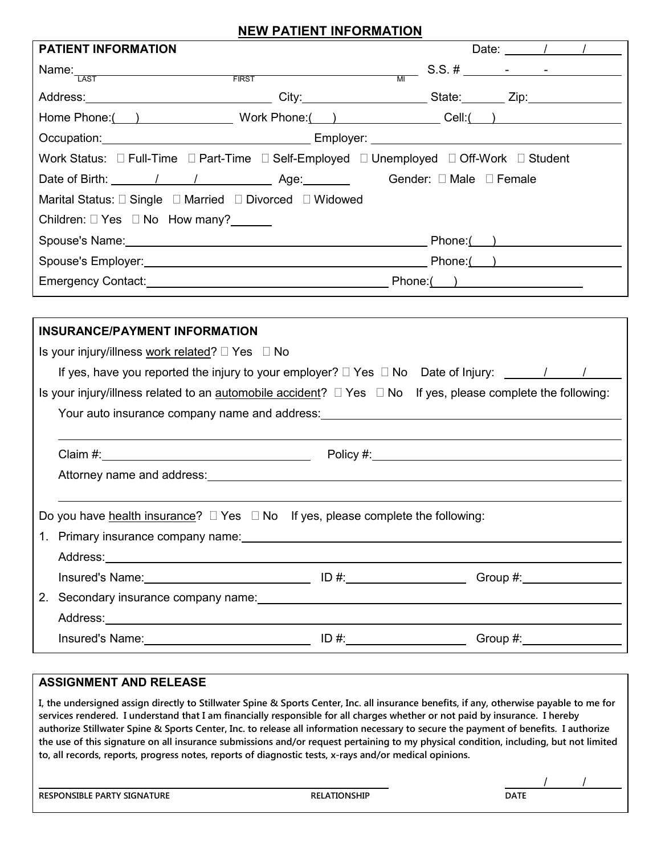# **NEW PATIENT INFORMATION**

| <b>PATIENT INFORMATION</b><br>Name: $\frac{1}{\text{LAST}}$ S.S. # $\frac{1}{\text{LAST}}$ S.S. = $\frac{1}{\text{LAST}}$<br>Address: __________________________________City:________________________State:________Zip:____________________<br>Home Phone: ( ) Work Phone: ( ) Cell: ( )<br>Marital Status: □ Single □ Married □ Divorced □ Widowed<br>Children: □ Yes □ No How many?______ | Date: $/$ / |
|---------------------------------------------------------------------------------------------------------------------------------------------------------------------------------------------------------------------------------------------------------------------------------------------------------------------------------------------------------------------------------------------|-------------|
|                                                                                                                                                                                                                                                                                                                                                                                             |             |
|                                                                                                                                                                                                                                                                                                                                                                                             |             |
|                                                                                                                                                                                                                                                                                                                                                                                             |             |
|                                                                                                                                                                                                                                                                                                                                                                                             |             |
|                                                                                                                                                                                                                                                                                                                                                                                             |             |
|                                                                                                                                                                                                                                                                                                                                                                                             |             |
|                                                                                                                                                                                                                                                                                                                                                                                             |             |
|                                                                                                                                                                                                                                                                                                                                                                                             |             |
|                                                                                                                                                                                                                                                                                                                                                                                             |             |
| Spouse's Name: <u>Contract Communication</u> Phone: Communication Phone: Communication Phone: Communication Phone: Communication Phone: Communication Phone: Communication Phone: Communication Phone: Communication Phone: Communi                                                                                                                                                         |             |
|                                                                                                                                                                                                                                                                                                                                                                                             |             |
| Emergency Contact: <u>contact:</u> contact: example and contact: contact: contact: contact: contact: contact: contact: contact: contact: contact: contact: contact: contact: contact: contact: contact: contact: contact: contact:                                                                                                                                                          |             |
|                                                                                                                                                                                                                                                                                                                                                                                             |             |
| <b>INSURANCE/PAYMENT INFORMATION</b>                                                                                                                                                                                                                                                                                                                                                        |             |
| Is your injury/illness work related? $\Box$ Yes $\Box$ No                                                                                                                                                                                                                                                                                                                                   |             |
| If yes, have you reported the injury to your employer? $\Box$ Yes $\Box$ No Date of Injury: $\Box$                                                                                                                                                                                                                                                                                          |             |
| Is your injury/illness related to an automobile accident?<br>I Yes    I No If yes, please complete the following:                                                                                                                                                                                                                                                                           |             |
|                                                                                                                                                                                                                                                                                                                                                                                             |             |
|                                                                                                                                                                                                                                                                                                                                                                                             |             |
|                                                                                                                                                                                                                                                                                                                                                                                             |             |
|                                                                                                                                                                                                                                                                                                                                                                                             |             |
|                                                                                                                                                                                                                                                                                                                                                                                             |             |
| Do you have health insurance? $\Box$ Yes $\Box$ No If yes, please complete the following:                                                                                                                                                                                                                                                                                                   |             |
| 1. Primary insurance company name: 1. 2008. [2010] The Primary insurance company name:                                                                                                                                                                                                                                                                                                      |             |
|                                                                                                                                                                                                                                                                                                                                                                                             |             |
|                                                                                                                                                                                                                                                                                                                                                                                             |             |
|                                                                                                                                                                                                                                                                                                                                                                                             |             |
|                                                                                                                                                                                                                                                                                                                                                                                             |             |
|                                                                                                                                                                                                                                                                                                                                                                                             |             |

Insured's Name: ID #: ID #: Group #:

### **ASSIGNMENT AND RELEASE**

**I, the undersigned assign directly to Stillwater Spine & Sports Center, Inc. all insurance benefits, if any, otherwise payable to me for services rendered. I understand that I am financially responsible for all charges whether or not paid by insurance. I hereby authorize Stillwater Spine & Sports Center, Inc. to release all information necessary to secure the payment of benefits. I authorize the use of this signature on all insurance submissions and/or request pertaining to my physical condition, including, but not limited to, all records, reports, progress notes, reports of diagnostic tests, x-rays and/or medical opinions.**

**RESPONSIBLE PARTY SIGNATURE DATE** 

/ /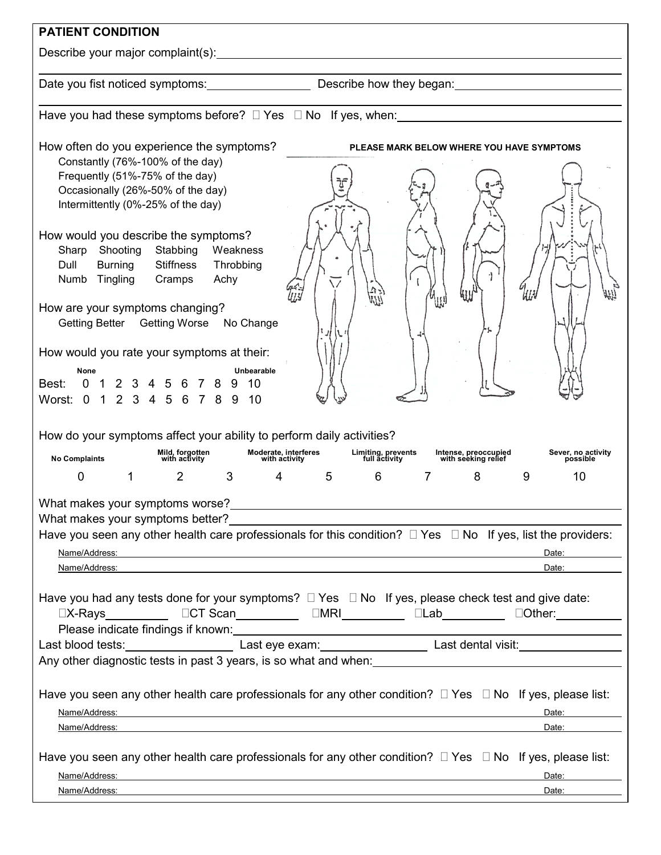| <b>PATIENT CONDITION</b>                                                                                                                                                                                                                                                                                                                                                                                                                                                                                                                                                                                                                                                                                                                                                                                                                                                                                                                                                                                                                                                                        |
|-------------------------------------------------------------------------------------------------------------------------------------------------------------------------------------------------------------------------------------------------------------------------------------------------------------------------------------------------------------------------------------------------------------------------------------------------------------------------------------------------------------------------------------------------------------------------------------------------------------------------------------------------------------------------------------------------------------------------------------------------------------------------------------------------------------------------------------------------------------------------------------------------------------------------------------------------------------------------------------------------------------------------------------------------------------------------------------------------|
| Describe your major complaint(s): Describe your major complaint(s):                                                                                                                                                                                                                                                                                                                                                                                                                                                                                                                                                                                                                                                                                                                                                                                                                                                                                                                                                                                                                             |
| Date you fist noticed symptoms: _________________________________Describe how they began: ____________________                                                                                                                                                                                                                                                                                                                                                                                                                                                                                                                                                                                                                                                                                                                                                                                                                                                                                                                                                                                  |
| Have you had these symptoms before? $\Box$ Yes $\Box$ No If yes, when:                                                                                                                                                                                                                                                                                                                                                                                                                                                                                                                                                                                                                                                                                                                                                                                                                                                                                                                                                                                                                          |
| How often do you experience the symptoms?<br>PLEASE MARK BELOW WHERE YOU HAVE SYMPTOMS<br>Constantly (76%-100% of the day)<br>Frequently (51%-75% of the day)<br>Occasionally (26%-50% of the day)<br>Intermittently (0%-25% of the day)                                                                                                                                                                                                                                                                                                                                                                                                                                                                                                                                                                                                                                                                                                                                                                                                                                                        |
| How would you describe the symptoms?<br>Stabbing<br>Weakness<br>Shooting<br>Sharp<br>Dull<br><b>Stiffness</b><br>Throbbing<br><b>Burning</b><br>Tingling<br>Numb<br>Cramps<br>Achy<br>411<br>uu                                                                                                                                                                                                                                                                                                                                                                                                                                                                                                                                                                                                                                                                                                                                                                                                                                                                                                 |
| How are your symptoms changing?<br>Getting Better Getting Worse No Change                                                                                                                                                                                                                                                                                                                                                                                                                                                                                                                                                                                                                                                                                                                                                                                                                                                                                                                                                                                                                       |
| How would you rate your symptoms at their:<br>Unbearable<br>None<br>$\mathbf{0}$<br>$2 \quad 3$<br>$\mathbf 1$<br>10<br>Best:<br>456<br>2 3 4 5 6 7 8<br>Worst: 0<br>$\overline{1}$<br>9<br>10                                                                                                                                                                                                                                                                                                                                                                                                                                                                                                                                                                                                                                                                                                                                                                                                                                                                                                  |
| How do your symptoms affect your ability to perform daily activities?<br>Sever, no activity                                                                                                                                                                                                                                                                                                                                                                                                                                                                                                                                                                                                                                                                                                                                                                                                                                                                                                                                                                                                     |
| Moderate, interferes<br>with activity<br>Limiting, prevents<br>full activity<br>Mild, forgotten<br>with activity<br>Intense, preoccupied<br>with seeking relief<br><b>No Complaints</b><br>possible<br>$\overline{2}$<br>3<br>5<br>6<br>0<br>1<br>7<br>8<br>9<br>10<br>4                                                                                                                                                                                                                                                                                                                                                                                                                                                                                                                                                                                                                                                                                                                                                                                                                        |
| What makes your symptoms worse?<br>Have you seen any other health care professionals for this condition? $\Box$ Yes $\Box$ No If yes, list the providers:<br>Name/Address: Name and Address and Address of the Address of the Address of the Address of the Address of the Address of the Address of the Address of the Address of the Address of the Address of the Address of the Address<br>Date: and the state of the state of the state of the state of the state of the state of the state of the state of the state of the state of the state of the state of the state of the state of the state of the state of the<br>Name/Address: example and a series of the series of the series of the series of the series of the series of the series of the series of the series of the series of the series of the series of the series of the series of th<br>Date: and the state of the state of the state of the state of the state of the state of the state of the state of the state of the state of the state of the state of the state of the state of the state of the state of the |
| Have you had any tests done for your symptoms? $\Box$ Yes $\Box$ No If yes, please check test and give date:                                                                                                                                                                                                                                                                                                                                                                                                                                                                                                                                                                                                                                                                                                                                                                                                                                                                                                                                                                                    |
|                                                                                                                                                                                                                                                                                                                                                                                                                                                                                                                                                                                                                                                                                                                                                                                                                                                                                                                                                                                                                                                                                                 |
| Have you seen any other health care professionals for any other condition? $\Box$ Yes $\Box$ No If yes, please list:<br>Name/Address:<br>Date: and the state of the state of the state of the state of the state of the state of the state of the state of the state of the state of the state of the state of the state of the state of the state of the state of the<br><u> 1980 - Johann Stoff, deutscher Stoffen und der Stoffen und der Stoffen und der Stoffen und der Stoffen und der</u><br>Date:                                                                                                                                                                                                                                                                                                                                                                                                                                                                                                                                                                                       |
| Have you seen any other health care professionals for any other condition? $\Box$ Yes $\Box$ No If yes, please list:<br>Name/Address:<br>Date:<br><u> 1989 - Johann John Stone, meilich aus der Stone († 1989)</u>                                                                                                                                                                                                                                                                                                                                                                                                                                                                                                                                                                                                                                                                                                                                                                                                                                                                              |
| Name/Address:<br>Date: <b>Date</b><br>,我们也不会有什么。""我们的人,我们也不会有什么?""我们的人,我们也不会有什么?""我们的人,我们也不会有什么?""我们的人,我们也不会有什么?""我们的人                                                                                                                                                                                                                                                                                                                                                                                                                                                                                                                                                                                                                                                                                                                                                                                                                                                                                                                                                                          |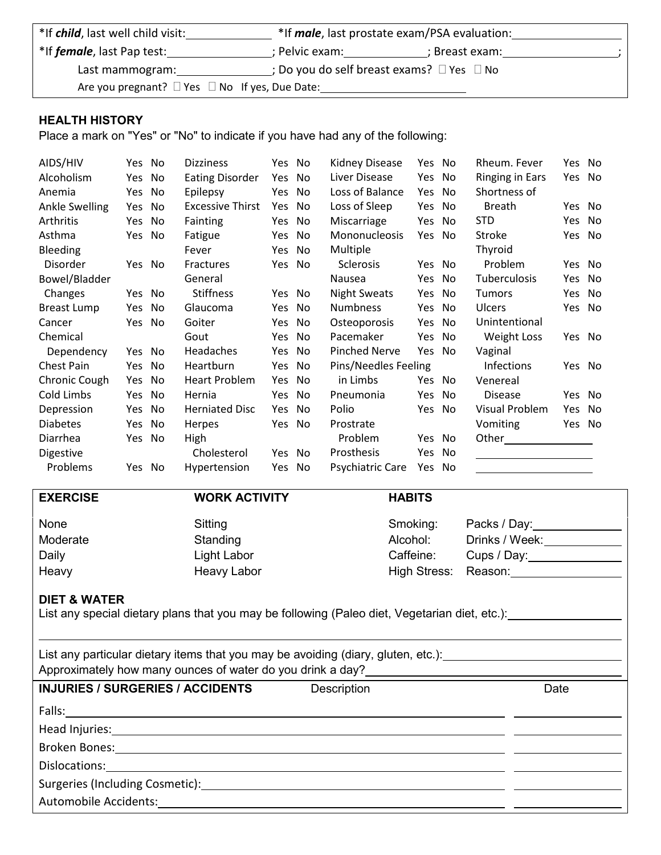| *If <i>child</i> , last well child visit:                |                | *If <i>male</i> , last prostate exam/PSA evaluation: |  |
|----------------------------------------------------------|----------------|------------------------------------------------------|--|
| *If <i>female</i> , last Pap test:                       | : Pelvic exam: | : Breast exam:                                       |  |
| Last mammogram:                                          |                | ; Do you do self breast exams? $\Box$ Yes $\Box$ No  |  |
| Are you pregnant? $\Box$ Yes $\Box$ No If yes, Due Date: |                |                                                      |  |

# **HEALTH HISTORY**

Place a mark on "Yes" or "No" to indicate if you have had any of the following:

| AIDS/HIV          | Yes No |    | <b>Dizziness</b>        | Yes No |    | Kidney Disease       | Yes No |     | Rheum. Fever           | Yes No |    |
|-------------------|--------|----|-------------------------|--------|----|----------------------|--------|-----|------------------------|--------|----|
| Alcoholism        | Yes    | No | <b>Eating Disorder</b>  | Yes    | No | Liver Disease        | Yes    | No  | <b>Ringing in Ears</b> | Yes No |    |
| Anemia            | Yes    | No | Epilepsy                | Yes    | No | Loss of Balance      | Yes    | No  | Shortness of           |        |    |
| Ankle Swelling    | Yes    | No | <b>Excessive Thirst</b> | Yes    | No | Loss of Sleep        | Yes    | No  | <b>Breath</b>          | Yes No |    |
| Arthritis         | Yes    | No | Fainting                | Yes No |    | Miscarriage          | Yes    | No  | <b>STD</b>             | Yes No |    |
| Asthma            | Yes    | No | Fatigue                 | Yes    | No | Mononucleosis        | Yes    | No  | Stroke                 | Yes    | No |
| <b>Bleeding</b>   |        |    | Fever                   | Yes    | No | Multiple             |        |     | Thyroid                |        |    |
| Disorder          | Yes No |    | Fractures               | Yes No |    | Sclerosis            | Yes No |     | Problem                | Yes No |    |
| Bowel/Bladder     |        |    | General                 |        |    | Nausea               | Yes    | No  | Tuberculosis           | Yes.   | No |
| Changes           | Yes No |    | <b>Stiffness</b>        | Yes No |    | <b>Night Sweats</b>  | Yes    | No  | <b>Tumors</b>          | Yes.   | No |
| Breast Lump       | Yes    | No | Glaucoma                | Yes    | No | <b>Numbness</b>      | Yes    | No  | <b>Ulcers</b>          | Yes No |    |
| Cancer            | Yes No |    | Goiter                  | Yes.   | No | Osteoporosis         | Yes    | No  | Unintentional          |        |    |
| Chemical          |        |    | Gout                    | Yes    | No | Pacemaker            | Yes    | No  | <b>Weight Loss</b>     | Yes No |    |
| Dependency        | Yes No |    | Headaches               | Yes    | No | <b>Pinched Nerve</b> | Yes    | No  | Vaginal                |        |    |
| <b>Chest Pain</b> | Yes    | No | Heartburn               | Yes    | No | Pins/Needles Feeling |        |     | <b>Infections</b>      | Yes No |    |
| Chronic Cough     | Yes    | No | Heart Problem           | Yes    | No | in Limbs             | Yes    | No  | Venereal               |        |    |
| Cold Limbs        | Yes    | No | Hernia                  | Yes    | No | Pneumonia            | Yes    | No  | <b>Disease</b>         | Yes No |    |
| Depression        | Yes    | No | <b>Herniated Disc</b>   | Yes    | No | Polio                | Yes    | No  | Visual Problem         | Yes No |    |
| <b>Diabetes</b>   | Yes    | No | Herpes                  | Yes No |    | Prostrate            |        |     | Vomiting               | Yes No |    |
| Diarrhea          | Yes No |    | High                    |        |    | Problem              | Yes No |     |                        |        |    |
| <b>Digestive</b>  |        |    | Cholesterol             | Yes No |    | Prosthesis           | Yes    | No. |                        |        |    |
| Problems          | Yes No |    | Hypertension            | Yes    | No | Psychiatric Care     | Yes    | No  |                        |        |    |

| <b>EXERCISE</b>         | <b>WORK ACTIVITY</b>                                                                          | <b>HABITS</b> |                            |
|-------------------------|-----------------------------------------------------------------------------------------------|---------------|----------------------------|
| None                    | Sitting                                                                                       | Smoking:      | Packs / Day:               |
| Moderate                | Standing                                                                                      | Alcohol:      | Drinks / Week:             |
| Daily                   | Light Labor                                                                                   | Caffeine:     | Cups / Day: ______________ |
| Heavy                   | <b>Heavy Labor</b>                                                                            | High Stress:  | Reason: Reason:            |
| <b>DIET &amp; WATER</b> | List any special dietary plans that you may be following (Paleo diet, Vegetarian diet, etc.): |               |                            |
|                         | List any particular dietary items that you may be avoiding (diary, gluten, etc.):             |               |                            |

Approximately how many ounces of water do you drink a day?

| <b>INJURIES / SURGERIES / ACCIDENTS</b>                                                                                                                                                                                       | Description | Date |
|-------------------------------------------------------------------------------------------------------------------------------------------------------------------------------------------------------------------------------|-------------|------|
|                                                                                                                                                                                                                               |             |      |
| Head Injuries: No. 2014 19:00:00 PM and the Manual Association of the Manual Association of the Manual Association of the Manual Association of the Manual Association of the Manual Association of the Manual Association of |             |      |
|                                                                                                                                                                                                                               |             |      |
|                                                                                                                                                                                                                               |             |      |
|                                                                                                                                                                                                                               |             |      |
|                                                                                                                                                                                                                               |             |      |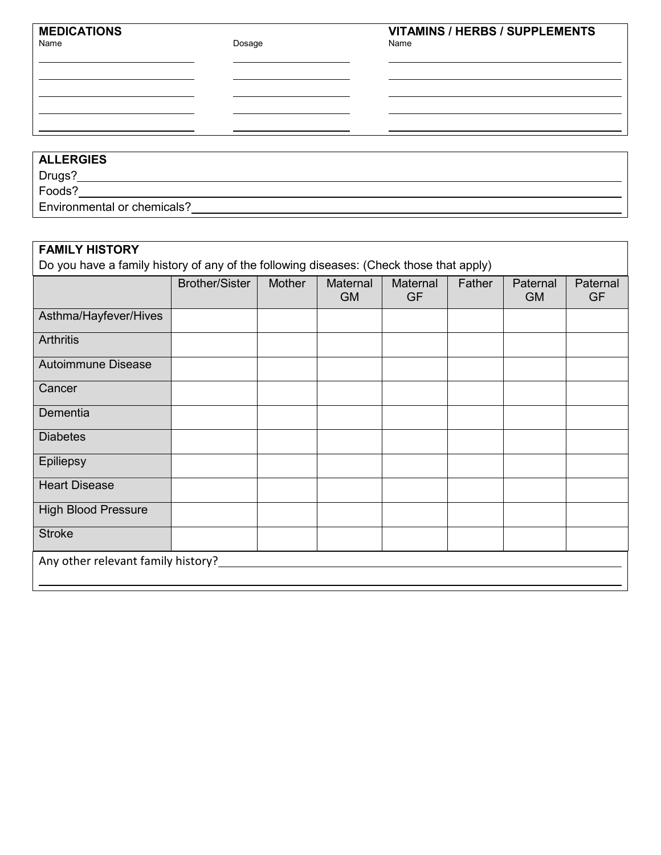Name **Name and American Control** Dosage **Name and Dosage Name** Name

# **ALLERGIES**

Drugs? Foods?

Environmental or chemicals?

| <b>FAMILY HISTORY</b><br>Do you have a family history of any of the following diseases: (Check those that apply) |                       |        |                       |                       |        |                       |                       |
|------------------------------------------------------------------------------------------------------------------|-----------------------|--------|-----------------------|-----------------------|--------|-----------------------|-----------------------|
|                                                                                                                  | <b>Brother/Sister</b> | Mother | Maternal<br><b>GM</b> | Maternal<br><b>GF</b> | Father | Paternal<br><b>GM</b> | Paternal<br><b>GF</b> |
| Asthma/Hayfever/Hives                                                                                            |                       |        |                       |                       |        |                       |                       |
| <b>Arthritis</b>                                                                                                 |                       |        |                       |                       |        |                       |                       |
| <b>Autoimmune Disease</b>                                                                                        |                       |        |                       |                       |        |                       |                       |
| Cancer                                                                                                           |                       |        |                       |                       |        |                       |                       |
| Dementia                                                                                                         |                       |        |                       |                       |        |                       |                       |
| <b>Diabetes</b>                                                                                                  |                       |        |                       |                       |        |                       |                       |
| <b>Epiliepsy</b>                                                                                                 |                       |        |                       |                       |        |                       |                       |
| <b>Heart Disease</b>                                                                                             |                       |        |                       |                       |        |                       |                       |
| <b>High Blood Pressure</b>                                                                                       |                       |        |                       |                       |        |                       |                       |
| <b>Stroke</b>                                                                                                    |                       |        |                       |                       |        |                       |                       |
| Any other relevant family history?                                                                               |                       |        |                       |                       |        |                       |                       |
|                                                                                                                  |                       |        |                       |                       |        |                       |                       |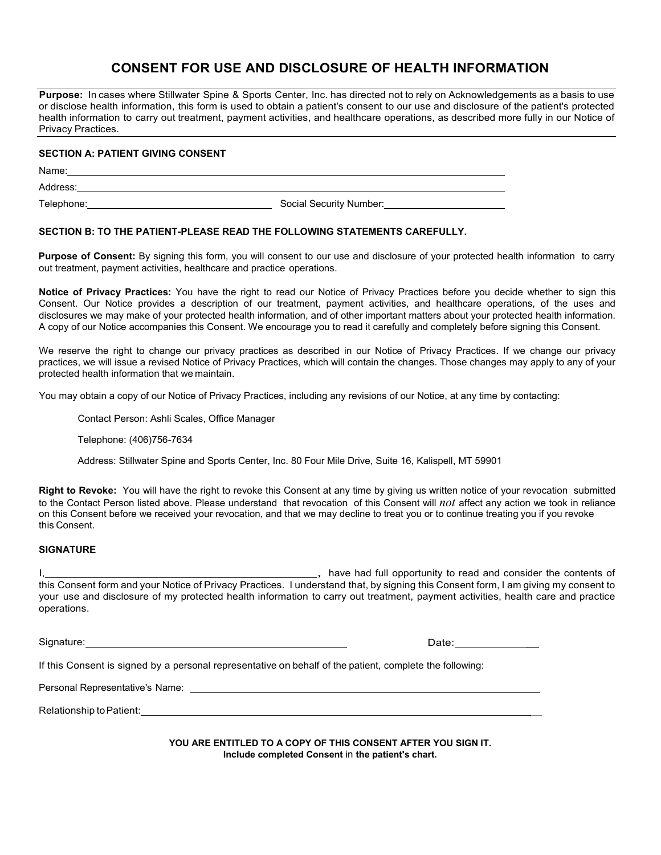# **CONSENT FOR USE AND DISCLOSURE OF HEALTH INFORMATION**

Purpose: In cases where Stillwater Spine & Sports Center, Inc. has directed not to rely on Acknowledgements as a basis to use or disclose health information, this form is used to obtain a patient's consent to our use and disclosure of the patient's protected health information to carry out treatment, payment activities, and healthcare operations, as described more fully in our Notice of Privacy Practices.

### **SECTION A: PATIENT GIVING CONSENT**

Name:

Address:

Telephone: Social Security Number:

### **SECTION B: TO THE PATIENT-PLEASE READ THE FOLLOWING STATEMENTS CAREFULLY.**

**Purpose of Consent:** By signing this form, you will consent to our use and disclosure of your protected health information to carry out treatment, payment activities, healthcare and practice operations.

**Notice of Privacy Practices:** You have the right to read our Notice of Privacy Practices before you decide whether to sign this Consent. Our Notice provides a description of our treatment, payment activities, and healthcare operations, of the uses and disclosures we may make of your protected health information, and of other important matters about your protected health information. A copy of our Notice accompanies this Consent. We encourage you to read it carefully and completely before signing this Consent.

We reserve the right to change our privacy practices as described in our Notice of Privacy Practices. If we change our privacy practices, we will issue a revised Notice of Privacy Practices, which will contain the changes. Those changes may apply to any of your protected health information that we maintain.

You may obtain a copy of our Notice of Privacy Practices, including any revisions of our Notice, at any time by contacting:

Contact Person: Ashli Scales, Office Manager

Telephone: (406)756-7634

Address: Stillwater Spine and Sports Center, Inc. 80 Four Mile Drive, Suite 16, Kalispell, MT 59901

**Right to Revoke:** You will have the right to revoke this Consent at any time by giving us written notice of your revocation submitted to the Contact Person listed above. Please understand that revocation of this Consent will *not* affect any action we took in reliance on this Consent before we received your revocation, and that we may decline to treat you or to continue treating you if you revoke this Consent.

### **SIGNATURE**

<sub>1</sub>, have had full opportunity to read and consider the contents of this Consent form and your Notice of Privacy Practices. I understand that, by signing this Consent form, I am giving my consent to your use and disclosure of my protected health information to carry out treatment, payment activities, health care and practice operations.

Signature: Date: Date: Date: Date: Date: Date: Date: Date: Date: Date: Date: Date: Date: Date: Date: Date: Date: Date: Date: Date: Date: Date: Date: Date: Date: Date: Date: Date: Date: Date: Date: Date: Date: Date: Date: D

If this Consent is signed by a personal representative on behalf of the patient, complete the following:

Personal Representative's Name:

Relationship to Patient: **Example 2018** 

**YOU ARE ENTITLED TO A COPY OF THIS CONSENT AFTER YOU SIGN IT. Include completed Consent** in **the patient's chart.**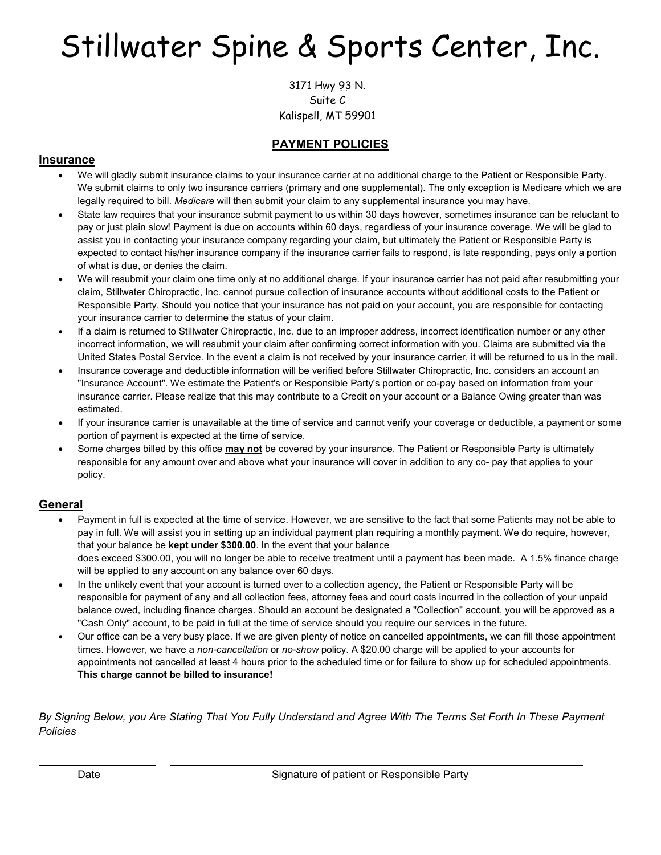# Stillwater Spine & Sports Center, Inc.

3171 Hwy 93 N. Suite 16 Suite C Kalispell, MT 59901 Kalispell, MT 59901

# **PAYMENT POLICIES**

## **Insurance**

- We will gladly submit insurance claims to your insurance carrier at no additional charge to the Patient or Responsible Party. We submit claims to only two insurance carriers (primary and one supplemental). The only exception is Medicare which we are legally required to bill. *Medicare* will then submit your claim to any supplemental insurance you may have.
- State law requires that your insurance submit payment to us within 30 days however, sometimes insurance can be reluctant to pay or just plain slow! Payment is due on accounts within 60 days, regardless of your insurance coverage. We will be glad to assist you in contacting your insurance company regarding your claim, but ultimately the Patient or Responsible Party is expected to contact his/her insurance company if the insurance carrier fails to respond, is late responding, pays only a portion of what is due, or denies the claim.
- We will resubmit your claim one time only at no additional charge. If your insurance carrier has not paid after resubmitting your claim, Stillwater Chiropractic, Inc. cannot pursue collection of insurance accounts without additional costs to the Patient or Responsible Party. Should you notice that your insurance has not paid on your account, you are responsible for contacting your insurance carrier to determine the status of your claim.
- If a claim is returned to Stillwater Chiropractic, Inc. due to an improper address, incorrect identification number or any other incorrect information, we will resubmit your claim after confirming correct information with you. Claims are submitted via the United States Postal Service. In the event a claim is not received by your insurance carrier, it will be returned to us in the mail.
- Insurance coverage and deductible information will be verified before Stillwater Chiropractic, Inc. considers an account an "Insurance Account". We estimate the Patient's or Responsible Party's portion or co-pay based on information from your insurance carrier. Please realize that this may contribute to a Credit on your account or a Balance Owing greater than was estimated.
- If your insurance carrier is unavailable at the time of service and cannot verify your coverage or deductible, a payment or some portion of payment is expected at the time of service.
- Some charges billed by this office **may not** be covered by your insurance. The Patient or Responsible Party is ultimately responsible for any amount over and above what your insurance will cover in addition to any co- pay that applies to your policy.

# **General**

- Payment in full is expected at the time of service. However, we are sensitive to the fact that some Patients may not be able to pay in full. We will assist you in setting up an individual payment plan requiring a monthly payment. We do require, however, that your balance be **kept under \$300.00**. In the event that your balance does exceed \$300.00, you will no longer be able to receive treatment until a payment has been made. A 1.5% finance charge will be applied to any account on any balance over 60 days.
- In the unlikely event that your account is turned over to a collection agency, the Patient or Responsible Party will be responsible for payment of any and all collection fees, attorney fees and court costs incurred in the collection of your unpaid balance owed, including finance charges. Should an account be designated a "Collection" account, you will be approved as a "Cash Only" account, to be paid in full at the time of service should you require our services in the future.
- Our office can be a very busy place. If we are given plenty of notice on cancelled appointments, we can fill those appointment times. However, we have a *non-cancellation* or *no-show* policy. A \$20.00 charge will be applied to your accounts for appointments not cancelled at least 4 hours prior to the scheduled time or for failure to show up for scheduled appointments. **This charge cannot be billed to insurance!**

*By Signing Below, you Are Stating That You Fully Understand and Agree With The Terms Set Forth In These Payment Policies*